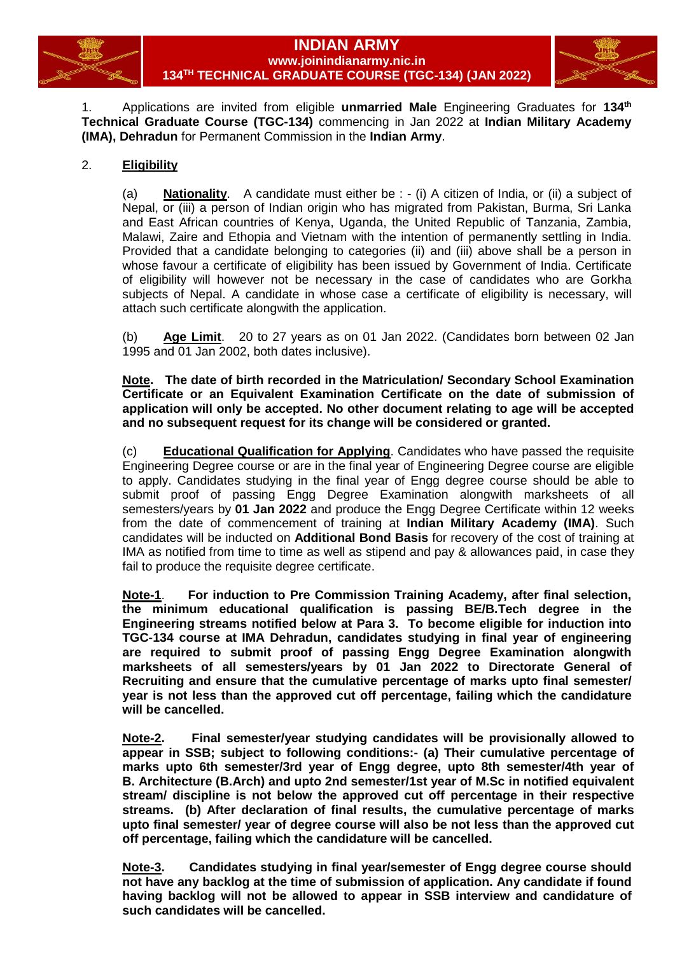

# **INDIAN ARMY www.joinindianarmy.nic.in 134 TH TECHNICAL GRADUATE COURSE (TGC-134) (JAN 2022)**



1. Applications are invited from eligible **unmarried Male** Engineering Graduates for **134 th Technical Graduate Course (TGC-134)** commencing in Jan 2022 at **Indian Military Academy (IMA), Dehradun** for Permanent Commission in the **Indian Army**.

# 2. **Eligibility**

(a) **Nationality**. A candidate must either be : - (i) A citizen of India, or (ii) a subject of Nepal, or (iii) a person of Indian origin who has migrated from Pakistan, Burma, Sri Lanka and East African countries of Kenya, Uganda, the United Republic of Tanzania, Zambia, Malawi, Zaire and Ethopia and Vietnam with the intention of permanently settling in India. Provided that a candidate belonging to categories (ii) and (iii) above shall be a person in whose favour a certificate of eligibility has been issued by Government of India. Certificate of eligibility will however not be necessary in the case of candidates who are Gorkha subjects of Nepal. A candidate in whose case a certificate of eligibility is necessary, will attach such certificate alongwith the application.

(b) **Age Limit**. 20 to 27 years as on 01 Jan 2022. (Candidates born between 02 Jan 1995 and 01 Jan 2002, both dates inclusive).

**Note. The date of birth recorded in the Matriculation/ Secondary School Examination Certificate or an Equivalent Examination Certificate on the date of submission of application will only be accepted. No other document relating to age will be accepted and no subsequent request for its change will be considered or granted.**

(c) **Educational Qualification for Applying**. Candidates who have passed the requisite Engineering Degree course or are in the final year of Engineering Degree course are eligible to apply. Candidates studying in the final year of Engg degree course should be able to submit proof of passing Engg Degree Examination alongwith marksheets of all semesters/years by **01 Jan 2022** and produce the Engg Degree Certificate within 12 weeks from the date of commencement of training at **Indian Military Academy (IMA)**. Such candidates will be inducted on **Additional Bond Basis** for recovery of the cost of training at IMA as notified from time to time as well as stipend and pay & allowances paid, in case they fail to produce the requisite degree certificate.

**Note-1**. **For induction to Pre Commission Training Academy, after final selection, the minimum educational qualification is passing BE/B.Tech degree in the Engineering streams notified below at Para 3. To become eligible for induction into TGC-134 course at IMA Dehradun, candidates studying in final year of engineering are required to submit proof of passing Engg Degree Examination alongwith marksheets of all semesters/years by 01 Jan 2022 to Directorate General of Recruiting and ensure that the cumulative percentage of marks upto final semester/ year is not less than the approved cut off percentage, failing which the candidature will be cancelled.**

**Note-2. Final semester/year studying candidates will be provisionally allowed to appear in SSB; subject to following conditions:- (a) Their cumulative percentage of marks upto 6th semester/3rd year of Engg degree, upto 8th semester/4th year of B. Architecture (B.Arch) and upto 2nd semester/1st year of M.Sc in notified equivalent stream/ discipline is not below the approved cut off percentage in their respective streams. (b) After declaration of final results, the cumulative percentage of marks upto final semester/ year of degree course will also be not less than the approved cut off percentage, failing which the candidature will be cancelled.**

**Note-3. Candidates studying in final year/semester of Engg degree course should not have any backlog at the time of submission of application. Any candidate if found having backlog will not be allowed to appear in SSB interview and candidature of such candidates will be cancelled.**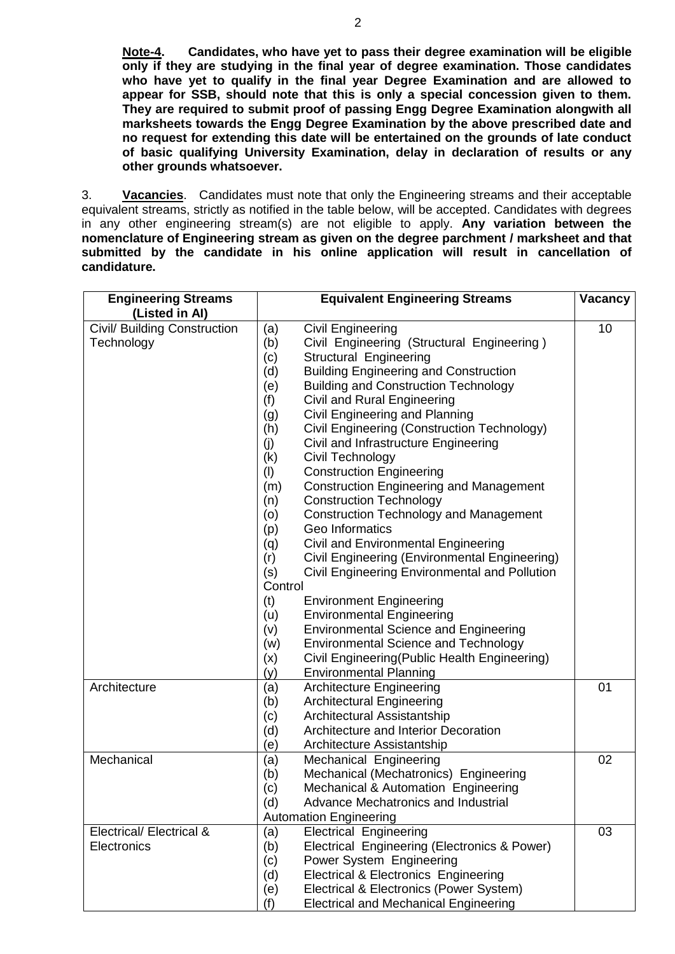**Note-4. Candidates, who have yet to pass their degree examination will be eligible only if they are studying in the final year of degree examination. Those candidates who have yet to qualify in the final year Degree Examination and are allowed to appear for SSB, should note that this is only a special concession given to them. They are required to submit proof of passing Engg Degree Examination alongwith all marksheets towards the Engg Degree Examination by the above prescribed date and no request for extending this date will be entertained on the grounds of late conduct of basic qualifying University Examination, delay in declaration of results or any other grounds whatsoever.**

3. **Vacancies**. Candidates must note that only the Engineering streams and their acceptable equivalent streams, strictly as notified in the table below, will be accepted. Candidates with degrees in any other engineering stream(s) are not eligible to apply. **Any variation between the nomenclature of Engineering stream as given on the degree parchment / marksheet and that submitted by the candidate in his online application will result in cancellation of candidature.**

| <b>Engineering Streams</b>   | <b>Equivalent Engineering Streams</b>                  |    |  | Vacancy |  |
|------------------------------|--------------------------------------------------------|----|--|---------|--|
| (Listed in Al)               |                                                        |    |  |         |  |
| Civil/ Building Construction | <b>Civil Engineering</b><br>(a)                        | 10 |  |         |  |
| Technology                   | Civil Engineering (Structural Engineering)<br>(b)      |    |  |         |  |
|                              | (c)<br>Structural Engineering                          |    |  |         |  |
|                              | <b>Building Engineering and Construction</b><br>(d)    |    |  |         |  |
|                              | <b>Building and Construction Technology</b><br>(e)     |    |  |         |  |
|                              | Civil and Rural Engineering<br>(f)                     |    |  |         |  |
|                              | Civil Engineering and Planning<br>(g)                  |    |  |         |  |
|                              | Civil Engineering (Construction Technology)<br>(h)     |    |  |         |  |
|                              | Civil and Infrastructure Engineering<br>(j)            |    |  |         |  |
|                              | Civil Technology<br>(k)                                |    |  |         |  |
|                              | (1)<br><b>Construction Engineering</b>                 |    |  |         |  |
|                              | <b>Construction Engineering and Management</b><br>(m)  |    |  |         |  |
|                              | <b>Construction Technology</b><br>(n)                  |    |  |         |  |
|                              | <b>Construction Technology and Management</b><br>(o)   |    |  |         |  |
|                              | Geo Informatics<br>(p)                                 |    |  |         |  |
|                              | Civil and Environmental Engineering<br>(q)             |    |  |         |  |
|                              | Civil Engineering (Environmental Engineering)<br>(r)   |    |  |         |  |
|                              | (s)<br>Civil Engineering Environmental and Pollution   |    |  |         |  |
|                              | Control                                                |    |  |         |  |
|                              | (t)<br><b>Environment Engineering</b>                  |    |  |         |  |
|                              | <b>Environmental Engineering</b><br>(u)                |    |  |         |  |
|                              | <b>Environmental Science and Engineering</b><br>(v)    |    |  |         |  |
|                              | <b>Environmental Science and Technology</b><br>(w)     |    |  |         |  |
|                              | Civil Engineering (Public Health Engineering)<br>(x)   |    |  |         |  |
|                              | (y)<br><b>Environmental Planning</b>                   |    |  |         |  |
| Architecture                 | (a)<br><b>Architecture Engineering</b>                 | 01 |  |         |  |
|                              | <b>Architectural Engineering</b><br>(b)                |    |  |         |  |
|                              | Architectural Assistantship<br>(c)                     |    |  |         |  |
|                              | (d)<br>Architecture and Interior Decoration            |    |  |         |  |
|                              | (e)<br>Architecture Assistantship                      |    |  |         |  |
| Mechanical                   | (a)<br>Mechanical Engineering                          | 02 |  |         |  |
|                              | Mechanical (Mechatronics) Engineering<br>(b)           |    |  |         |  |
|                              | Mechanical & Automation Engineering<br>(c)             |    |  |         |  |
|                              | (d)<br>Advance Mechatronics and Industrial             |    |  |         |  |
|                              | <b>Automation Engineering</b>                          |    |  |         |  |
| Electrical/ Electrical &     | <b>Electrical Engineering</b><br>(a)                   | 03 |  |         |  |
| Electronics                  | (b)<br>Electrical Engineering (Electronics & Power)    |    |  |         |  |
|                              | Power System Engineering<br>(c)                        |    |  |         |  |
|                              | <b>Electrical &amp; Electronics Engineering</b><br>(d) |    |  |         |  |
|                              | Electrical & Electronics (Power System)<br>(e)         |    |  |         |  |
|                              | <b>Electrical and Mechanical Engineering</b><br>(f)    |    |  |         |  |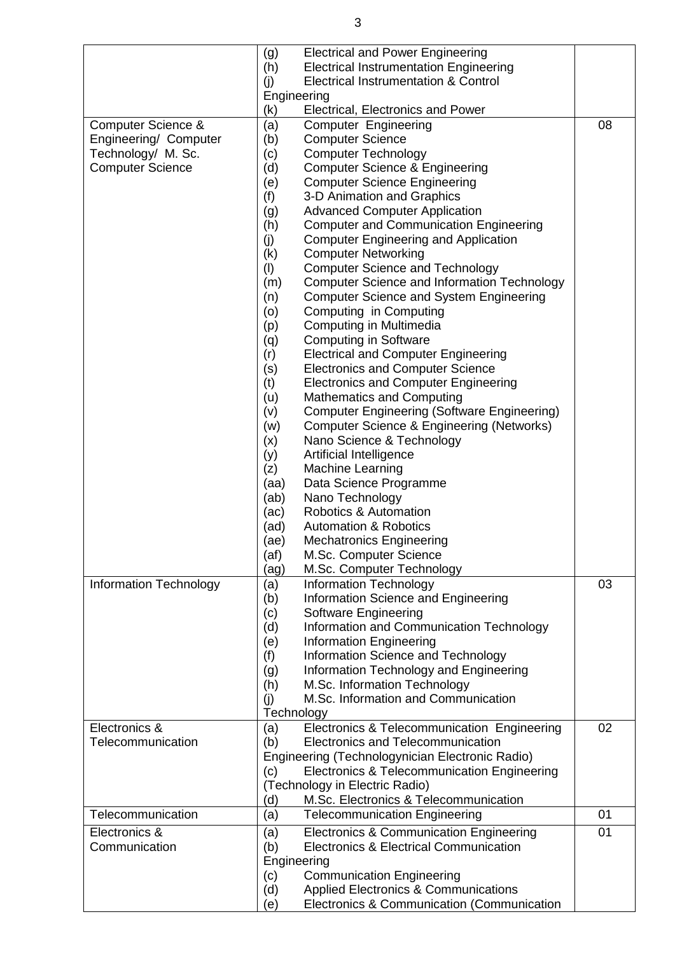|                               | <b>Electrical and Power Engineering</b><br>(g)            |    |
|-------------------------------|-----------------------------------------------------------|----|
|                               | (h)<br><b>Electrical Instrumentation Engineering</b>      |    |
|                               | <b>Electrical Instrumentation &amp; Control</b><br>(i)    |    |
|                               | Engineering                                               |    |
|                               | (k)<br>Electrical, Electronics and Power                  |    |
| Computer Science &            | (a)<br>Computer Engineering                               | 08 |
| Engineering/ Computer         | (b)<br><b>Computer Science</b>                            |    |
| Technology/ M. Sc.            | <b>Computer Technology</b><br>(c)                         |    |
| <b>Computer Science</b>       | (d)<br><b>Computer Science &amp; Engineering</b>          |    |
|                               | <b>Computer Science Engineering</b><br>(e)                |    |
|                               | (f)<br>3-D Animation and Graphics                         |    |
|                               | <b>Advanced Computer Application</b><br>(g)               |    |
|                               | (h)<br><b>Computer and Communication Engineering</b>      |    |
|                               | (j)<br><b>Computer Engineering and Application</b>        |    |
|                               | <b>Computer Networking</b><br>(k)                         |    |
|                               | <b>Computer Science and Technology</b><br>(1)             |    |
|                               | <b>Computer Science and Information Technology</b><br>(m) |    |
|                               | <b>Computer Science and System Engineering</b><br>(n)     |    |
|                               | (0)<br>Computing in Computing                             |    |
|                               | Computing in Multimedia<br>(p)                            |    |
|                               | <b>Computing in Software</b><br>(q)                       |    |
|                               | <b>Electrical and Computer Engineering</b><br>(r)         |    |
|                               | (s)<br><b>Electronics and Computer Science</b>            |    |
|                               | (t)<br><b>Electronics and Computer Engineering</b>        |    |
|                               | <b>Mathematics and Computing</b><br>(u)                   |    |
|                               | <b>Computer Engineering (Software Engineering)</b><br>(v) |    |
|                               | Computer Science & Engineering (Networks)<br>(w)          |    |
|                               | Nano Science & Technology<br>(x)                          |    |
|                               | (y)<br>Artificial Intelligence                            |    |
|                               | (z)<br><b>Machine Learning</b>                            |    |
|                               | Data Science Programme<br>(aa)                            |    |
|                               | Nano Technology<br>(ab)                                   |    |
|                               | Robotics & Automation<br>(ac)                             |    |
|                               | <b>Automation &amp; Robotics</b><br>(ad)                  |    |
|                               | <b>Mechatronics Engineering</b><br>(ae)                   |    |
|                               | M.Sc. Computer Science<br>(af)                            |    |
|                               | M.Sc. Computer Technology<br>(ag)                         |    |
| <b>Information Technology</b> | <b>Information Technology</b><br>(a)                      | 03 |
|                               | Information Science and Engineering<br>(b)                |    |
|                               | Software Engineering<br>(c)                               |    |
|                               | Information and Communication Technology<br>(d)           |    |
|                               | (e)<br><b>Information Engineering</b>                     |    |
|                               | (f)<br>Information Science and Technology                 |    |
|                               | Information Technology and Engineering<br>(g)             |    |
|                               | M.Sc. Information Technology<br>(h)                       |    |
|                               | M.Sc. Information and Communication<br>(i)                |    |
|                               | Technology                                                |    |
| Electronics &                 | Electronics & Telecommunication Engineering<br>(a)        | 02 |
| Telecommunication             | Electronics and Telecommunication<br>(b)                  |    |
|                               | Engineering (Technologynician Electronic Radio)           |    |
|                               | Electronics & Telecommunication Engineering<br>(c)        |    |
|                               | (Technology in Electric Radio)                            |    |
|                               | M.Sc. Electronics & Telecommunication<br>(d)              |    |
| Telecommunication             | <b>Telecommunication Engineering</b><br>(a)               | 01 |
|                               |                                                           |    |
| Electronics &                 | (a)<br>Electronics & Communication Engineering            | 01 |
| Communication                 | Electronics & Electrical Communication<br>(b)             |    |
|                               | Engineering                                               |    |
|                               | <b>Communication Engineering</b><br>(c)                   |    |
|                               | <b>Applied Electronics &amp; Communications</b><br>(d)    |    |
|                               | Electronics & Communication (Communication<br>(e)         |    |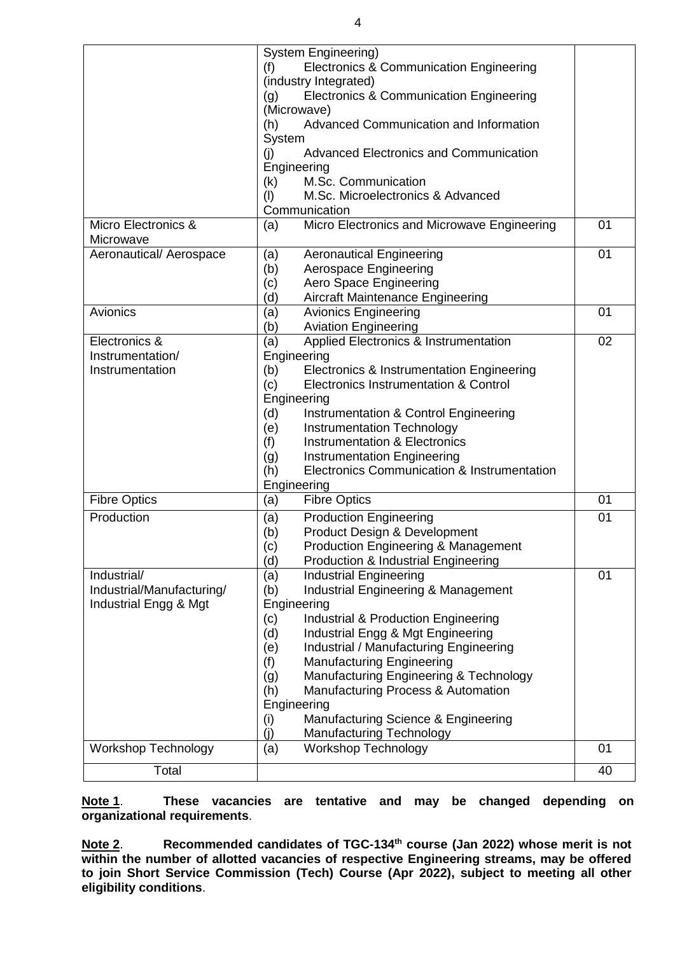|                            | System Engineering)                                       |    |
|----------------------------|-----------------------------------------------------------|----|
|                            | <b>Electronics &amp; Communication Engineering</b><br>(f) |    |
|                            | (industry Integrated)                                     |    |
|                            | Electronics & Communication Engineering<br>(g)            |    |
|                            | (Microwave)                                               |    |
|                            | Advanced Communication and Information<br>(h)             |    |
|                            | System                                                    |    |
|                            | <b>Advanced Electronics and Communication</b><br>(i)      |    |
|                            | Engineering                                               |    |
|                            | M.Sc. Communication<br>(k)                                |    |
|                            | M.Sc. Microelectronics & Advanced<br>(1)                  |    |
|                            | Communication                                             |    |
| Micro Electronics &        | Micro Electronics and Microwave Engineering<br>(a)        | 01 |
| Microwave                  |                                                           |    |
| Aeronautical/ Aerospace    | <b>Aeronautical Engineering</b><br>(a)                    | 01 |
|                            | (b)<br>Aerospace Engineering                              |    |
|                            | Aero Space Engineering<br>(c)                             |    |
|                            | (d)<br><b>Aircraft Maintenance Engineering</b>            |    |
| Avionics                   | <b>Avionics Engineering</b><br>(a)                        | 01 |
|                            | (b)<br><b>Aviation Engineering</b>                        |    |
| Electronics &              | (a)<br>Applied Electronics & Instrumentation              | 02 |
| Instrumentation/           | Engineering                                               |    |
| Instrumentation            | (b)<br>Electronics & Instrumentation Engineering          |    |
|                            | Electronics Instrumentation & Control<br>(c)              |    |
|                            | Engineering                                               |    |
|                            | (d)<br>Instrumentation & Control Engineering              |    |
|                            | (e)<br><b>Instrumentation Technology</b>                  |    |
|                            | <b>Instrumentation &amp; Electronics</b><br>(f)           |    |
|                            | <b>Instrumentation Engineering</b><br>(g)                 |    |
|                            | Electronics Communication & Instrumentation<br>(h)        |    |
|                            | Engineering                                               |    |
| <b>Fibre Optics</b>        | <b>Fibre Optics</b><br>(a)                                | 01 |
| Production                 | <b>Production Engineering</b><br>(a)                      | 01 |
|                            | (b)<br>Product Design & Development                       |    |
|                            | (c)<br><b>Production Engineering &amp; Management</b>     |    |
|                            | (d)<br>Production & Industrial Engineering                |    |
| Industrial/                | (a)<br><b>Industrial Engineering</b>                      | 01 |
| Industrial/Manufacturing/  | <b>Industrial Engineering &amp; Management</b><br>(b)     |    |
| Industrial Engg & Mgt      | Engineering                                               |    |
|                            | (c)<br>Industrial & Production Engineering                |    |
|                            | Industrial Engg & Mgt Engineering<br>(d)                  |    |
|                            | Industrial / Manufacturing Engineering<br>(e)             |    |
|                            | (f)<br><b>Manufacturing Engineering</b>                   |    |
|                            | Manufacturing Engineering & Technology<br>(g)             |    |
|                            | Manufacturing Process & Automation<br>(h)                 |    |
|                            | Engineering                                               |    |
|                            | Manufacturing Science & Engineering<br>(i)                |    |
|                            | (i)<br>Manufacturing Technology                           |    |
| <b>Workshop Technology</b> | <b>Workshop Technology</b><br>(a)                         | 01 |
|                            |                                                           |    |
| Total                      |                                                           | 40 |

**Note 1**. **These vacancies are tentative and may be changed depending on organizational requirements**.

Note 2. **Recommended candidates of TGC-134<sup>th</sup> course (Jan 2022) whose merit is not within the number of allotted vacancies of respective Engineering streams, may be offered to join Short Service Commission (Tech) Course (Apr 2022), subject to meeting all other eligibility conditions**.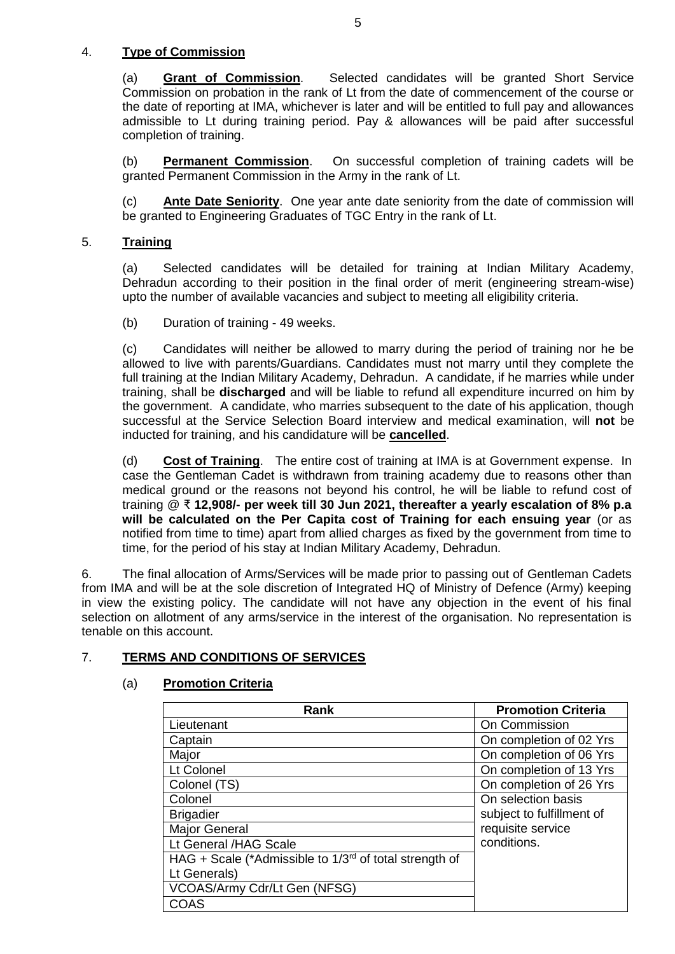# 4. **Type of Commission**

(a) **Grant of Commission**. Selected candidates will be granted Short Service Commission on probation in the rank of Lt from the date of commencement of the course or the date of reporting at IMA, whichever is later and will be entitled to full pay and allowances admissible to Lt during training period. Pay & allowances will be paid after successful completion of training.

(b) **Permanent Commission**. On successful completion of training cadets will be granted Permanent Commission in the Army in the rank of Lt.

(c) **Ante Date Seniority**. One year ante date seniority from the date of commission will be granted to Engineering Graduates of TGC Entry in the rank of Lt.

# 5. **Training**

(a) Selected candidates will be detailed for training at Indian Military Academy, Dehradun according to their position in the final order of merit (engineering stream-wise) upto the number of available vacancies and subject to meeting all eligibility criteria.

(b) Duration of training - 49 weeks.

(c) Candidates will neither be allowed to marry during the period of training nor he be allowed to live with parents/Guardians. Candidates must not marry until they complete the full training at the Indian Military Academy, Dehradun. A candidate, if he marries while under training, shall be **discharged** and will be liable to refund all expenditure incurred on him by the government. A candidate, who marries subsequent to the date of his application, though successful at the Service Selection Board interview and medical examination, will **not** be inducted for training, and his candidature will be **cancelled**.

(d) **Cost of Training**. The entire cost of training at IMA is at Government expense. In case the Gentleman Cadet is withdrawn from training academy due to reasons other than medical ground or the reasons not beyond his control, he will be liable to refund cost of training @ ₹ **12,908/- per week till 30 Jun 2021, thereafter a yearly escalation of 8% p.a will be calculated on the Per Capita cost of Training for each ensuing year** (or as notified from time to time) apart from allied charges as fixed by the government from time to time, for the period of his stay at Indian Military Academy, Dehradun.

6. The final allocation of Arms/Services will be made prior to passing out of Gentleman Cadets from IMA and will be at the sole discretion of Integrated HQ of Ministry of Defence (Army) keeping in view the existing policy. The candidate will not have any objection in the event of his final selection on allotment of any arms/service in the interest of the organisation. No representation is tenable on this account.

# 7. **TERMS AND CONDITIONS OF SERVICES**

# (a) **Promotion Criteria**

| Rank                                                        | <b>Promotion Criteria</b> |
|-------------------------------------------------------------|---------------------------|
| Lieutenant                                                  | On Commission             |
| Captain                                                     | On completion of 02 Yrs   |
| Major                                                       | On completion of 06 Yrs   |
| Lt Colonel                                                  | On completion of 13 Yrs   |
| Colonel (TS)                                                | On completion of 26 Yrs   |
| Colonel                                                     | On selection basis        |
| <b>Brigadier</b>                                            | subject to fulfillment of |
| Major General                                               | requisite service         |
| Lt General / HAG Scale                                      | conditions.               |
| HAG + Scale (*Admissible to $1/3^{rd}$ of total strength of |                           |
| Lt Generals)                                                |                           |
| VCOAS/Army Cdr/Lt Gen (NFSG)                                |                           |
| COAS                                                        |                           |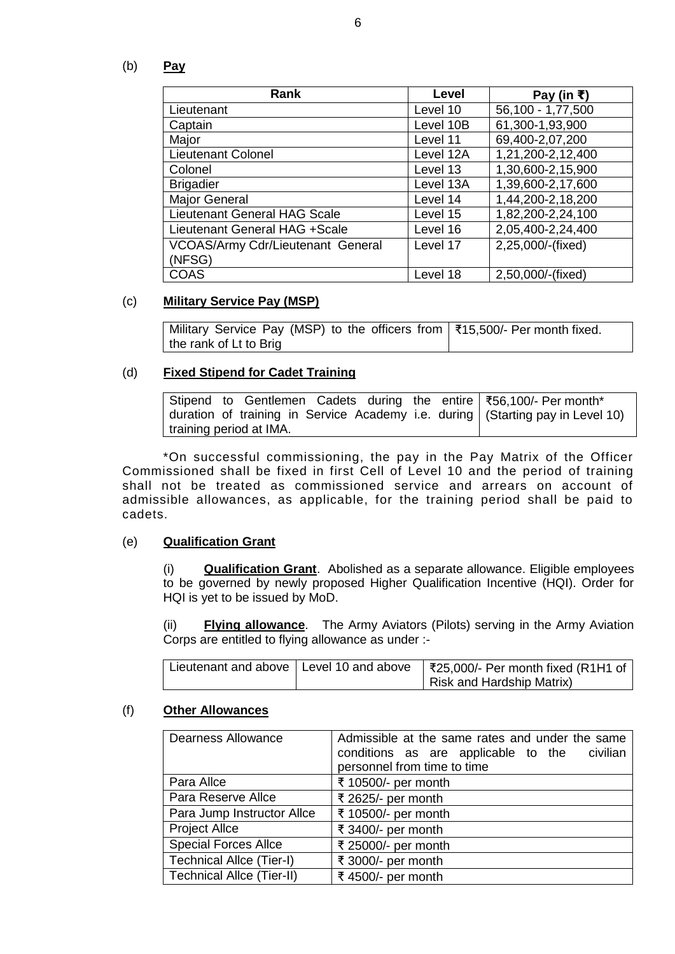(b) **Pay**

| Rank                                     | Level     | Pay (in ₹)           |
|------------------------------------------|-----------|----------------------|
| Lieutenant                               | Level 10  | 56,100 - 1,77,500    |
| Captain                                  | Level 10B | 61,300-1,93,900      |
| Major                                    | Level 11  | 69,400-2,07,200      |
| Lieutenant Colonel                       | Level 12A | 1,21,200-2,12,400    |
| Colonel                                  | Level 13  | 1,30,600-2,15,900    |
| <b>Brigadier</b>                         | Level 13A | 1,39,600-2,17,600    |
| <b>Major General</b>                     | Level 14  | 1,44,200-2,18,200    |
| <b>Lieutenant General HAG Scale</b>      | Level 15  | 1,82,200-2,24,100    |
| Lieutenant General HAG +Scale            | Level 16  | 2,05,400-2,24,400    |
| <b>VCOAS/Army Cdr/Lieutenant General</b> | Level 17  | $2,25,000$ /-(fixed) |
| (NFSG)                                   |           |                      |
| <b>COAS</b>                              | Level 18  | 2,50,000/-(fixed)    |

### (c) **Military Service Pay (MSP)**

Military Service Pay (MSP) to the officers from ₹15,500/- Per month fixed. the rank of Lt to Brig

## (d) **Fixed Stipend for Cadet Training**

|                         |  |  |  | Stipend to Gentlemen Cadets during the entire $\frac{1}{56}$ , 100/- Per month*  |
|-------------------------|--|--|--|----------------------------------------------------------------------------------|
|                         |  |  |  | duration of training in Service Academy i.e. during   (Starting pay in Level 10) |
| training period at IMA. |  |  |  |                                                                                  |

\*On successful commissioning, the pay in the Pay Matrix of the Officer Commissioned shall be fixed in first Cell of Level 10 and the period of training shall not be treated as commissioned service and arrears on account of admissible allowances, as applicable, for the training period shall be paid to cadets.

### (e) **Qualification Grant**

(i) **Qualification Grant**. Abolished as a separate allowance. Eligible employees to be governed by newly proposed Higher Qualification Incentive (HQI). Order for HQI is yet to be issued by MoD.

(ii) **Flying allowance**. The Army Aviators (Pilots) serving in the Army Aviation Corps are entitled to flying allowance as under :-

| Lieutenant and above   Level 10 and above | $\frac{1}{2}$ ₹25,000/- Per month fixed (R1H1 of |
|-------------------------------------------|--------------------------------------------------|
|                                           | Risk and Hardship Matrix)                        |

## (f) **Other Allowances**

| <b>Dearness Allowance</b>        | Admissible at the same rates and under the same<br>conditions as are applicable to the civilian<br>personnel from time to time |
|----------------------------------|--------------------------------------------------------------------------------------------------------------------------------|
| Para Allce                       | ₹ 10500/- per month                                                                                                            |
| Para Reserve Allce               | ₹ 2625/- per month                                                                                                             |
| Para Jump Instructor Allce       | ₹ 10500/- per month                                                                                                            |
| <b>Project Allce</b>             | ₹ 3400/- per month                                                                                                             |
| <b>Special Forces Allce</b>      | ₹ 25000/- per month                                                                                                            |
| <b>Technical Allce (Tier-I)</b>  | ₹ 3000/- per month                                                                                                             |
| <b>Technical Allce (Tier-II)</b> | ₹ 4500/- per month                                                                                                             |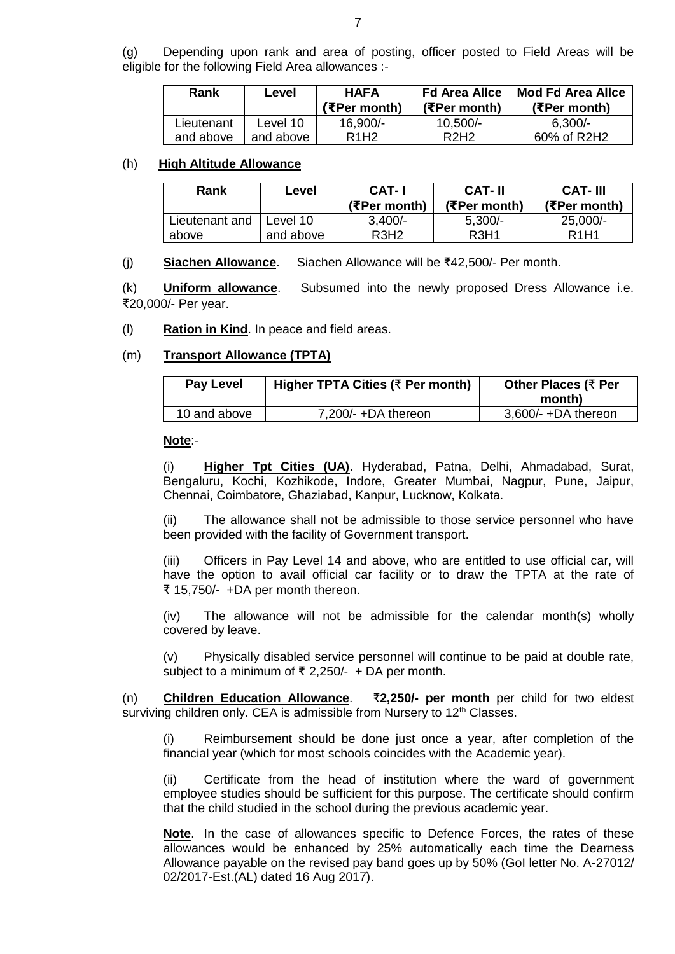(g) Depending upon rank and area of posting, officer posted to Field Areas will be eligible for the following Field Area allowances :-

| Rank       | Level     | <b>HAFA</b><br>(₹Per month)   | <b>Fd Area Allce</b><br>(EPer month) | <b>Mod Fd Area Allce</b><br>(₹Per month) |
|------------|-----------|-------------------------------|--------------------------------------|------------------------------------------|
| Lieutenant | Level 10  | 16,900/-                      | $10,500/-$                           | $6.300/-$                                |
| and above  | and above | R <sub>1</sub> H <sub>2</sub> | R <sub>2</sub> H <sub>2</sub>        | 60% of R2H2                              |

#### (h) **High Altitude Allowance**

| Rank           | Level     | <b>CAT-I</b><br>(₹Per month)  | <b>CAT-II</b><br>(₹Per month) | <b>CAT-III</b><br>(₹Per month) |
|----------------|-----------|-------------------------------|-------------------------------|--------------------------------|
| Lieutenant and | Level 10  | $3,400/-$                     | $5,300/-$                     | $25,000/-$                     |
| above          | and above | R <sub>3</sub> H <sub>2</sub> | <b>R3H1</b>                   | R <sub>1</sub> H <sub>1</sub>  |

(j) **Siachen Allowance**. Siachen Allowance will be ₹42,500/- Per month.

(k) **Uniform allowance**. Subsumed into the newly proposed Dress Allowance i.e. ₹20,000/- Per year.

#### (l) **Ration in Kind**. In peace and field areas.

#### (m) **Transport Allowance (TPTA)**

| <b>Pay Level</b> | Higher TPTA Cities (₹ Per month) | Other Places (₹ Per<br>month) |
|------------------|----------------------------------|-------------------------------|
| 10 and above     | $7,200/- +DA$ thereon            | $3,600/$ - +DA thereon        |

#### **Note**:-

(i) **Higher Tpt Cities (UA)**. Hyderabad, Patna, Delhi, Ahmadabad, Surat, Bengaluru, Kochi, Kozhikode, Indore, Greater Mumbai, Nagpur, Pune, Jaipur, Chennai, Coimbatore, Ghaziabad, Kanpur, Lucknow, Kolkata.

(ii) The allowance shall not be admissible to those service personnel who have been provided with the facility of Government transport.

(iii) Officers in Pay Level 14 and above, who are entitled to use official car, will have the option to avail official car facility or to draw the TPTA at the rate of ₹ 15,750/- +DA per month thereon.

(iv) The allowance will not be admissible for the calendar month(s) wholly covered by leave.

(v) Physically disabled service personnel will continue to be paid at double rate, subject to a minimum of ₹ 2,250/- + DA per month.

(n) **Children Education Allowance**. ₹**2,250/- per month** per child for two eldest surviving children only. CEA is admissible from Nursery to 12<sup>th</sup> Classes.

(i) Reimbursement should be done just once a year, after completion of the financial year (which for most schools coincides with the Academic year).

(ii) Certificate from the head of institution where the ward of government employee studies should be sufficient for this purpose. The certificate should confirm that the child studied in the school during the previous academic year.

**Note**. In the case of allowances specific to Defence Forces, the rates of these allowances would be enhanced by 25% automatically each time the Dearness Allowance payable on the revised pay band goes up by 50% (GoI letter No. A-27012/ 02/2017-Est.(AL) dated 16 Aug 2017).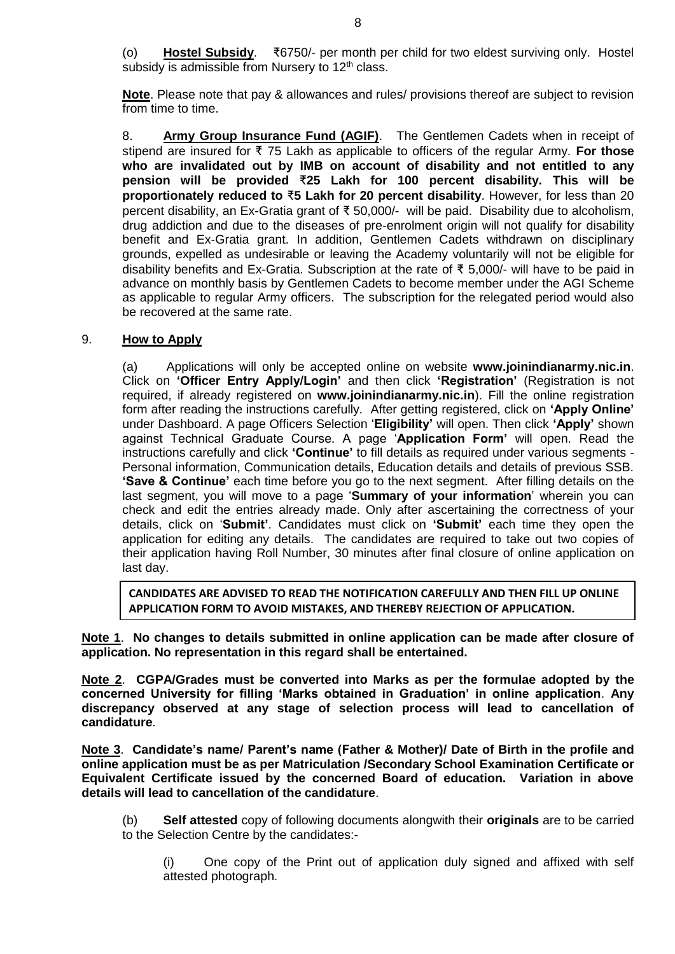(o) **Hostel Subsidy**. ₹6750/- per month per child for two eldest surviving only. Hostel subsidy is admissible from Nursery to  $12<sup>th</sup>$  class.

**Note**. Please note that pay & allowances and rules/ provisions thereof are subject to revision from time to time.

8. **Army Group Insurance Fund (AGIF)**.The Gentlemen Cadets when in receipt of stipend are insured for ₹ 75 Lakh as applicable to officers of the regular Army. **For those who are invalidated out by IMB on account of disability and not entitled to any pension will be provided** ₹**25 Lakh for 100 percent disability. This will be proportionately reduced to** ₹**5 Lakh for 20 percent disability**. However, for less than 20 percent disability, an Ex-Gratia grant of ₹ 50,000/- will be paid. Disability due to alcoholism, drug addiction and due to the diseases of pre-enrolment origin will not qualify for disability benefit and Ex-Gratia grant. In addition, Gentlemen Cadets withdrawn on disciplinary grounds, expelled as undesirable or leaving the Academy voluntarily will not be eligible for disability benefits and Ex-Gratia. Subscription at the rate of ₹ 5,000/- will have to be paid in advance on monthly basis by Gentlemen Cadets to become member under the AGI Scheme as applicable to regular Army officers. The subscription for the relegated period would also be recovered at the same rate.

## 9. **How to Apply**

(a)Applications will only be accepted online on website **www.joinindianarmy.nic.in**. Click on **'Officer Entry Apply/Login'** and then click **'Registration'** (Registration is not required, if already registered on **www.joinindianarmy.nic.in**). Fill the online registration form after reading the instructions carefully. After getting registered, click on **'Apply Online'** under Dashboard. A page Officers Selection '**Eligibility'** will open. Then click **'Apply'** shown against Technical Graduate Course. A page '**Application Form'** will open. Read the instructions carefully and click **'Continue'** to fill details as required under various segments - Personal information, Communication details, Education details and details of previous SSB. **'Save & Continue'** each time before you go to the next segment. After filling details on the last segment, you will move to a page '**Summary of your information**' wherein you can check and edit the entries already made. Only after ascertaining the correctness of your details, click on '**Submit'**. Candidates must click on **'Submit'** each time they open the application for editing any details. The candidates are required to take out two copies of their application having Roll Number, 30 minutes after final closure of online application on last day.

**CANDIDATES ARE ADVISED TO READ THE NOTIFICATION CAREFULLY AND THEN FILL UP ONLINE APPLICATION FORM TO AVOID MISTAKES, AND THEREBY REJECTION OF APPLICATION.**

**Note 1**. **No changes to details submitted in online application can be made after closure of application. No representation in this regard shall be entertained.**

**Note 2**. **CGPA/Grades must be converted into Marks as per the formulae adopted by the concerned University for filling 'Marks obtained in Graduation' in online application**. **Any discrepancy observed at any stage of selection process will lead to cancellation of candidature**.

**Note 3**. **Candidate's name/ Parent's name (Father & Mother)/ Date of Birth in the profile and online application must be as per Matriculation /Secondary School Examination Certificate or Equivalent Certificate issued by the concerned Board of education. Variation in above details will lead to cancellation of the candidature**.

(b) **Self attested** copy of following documents alongwith their **originals** are to be carried to the Selection Centre by the candidates:-

(i) One copy of the Print out of application duly signed and affixed with self attested photograph.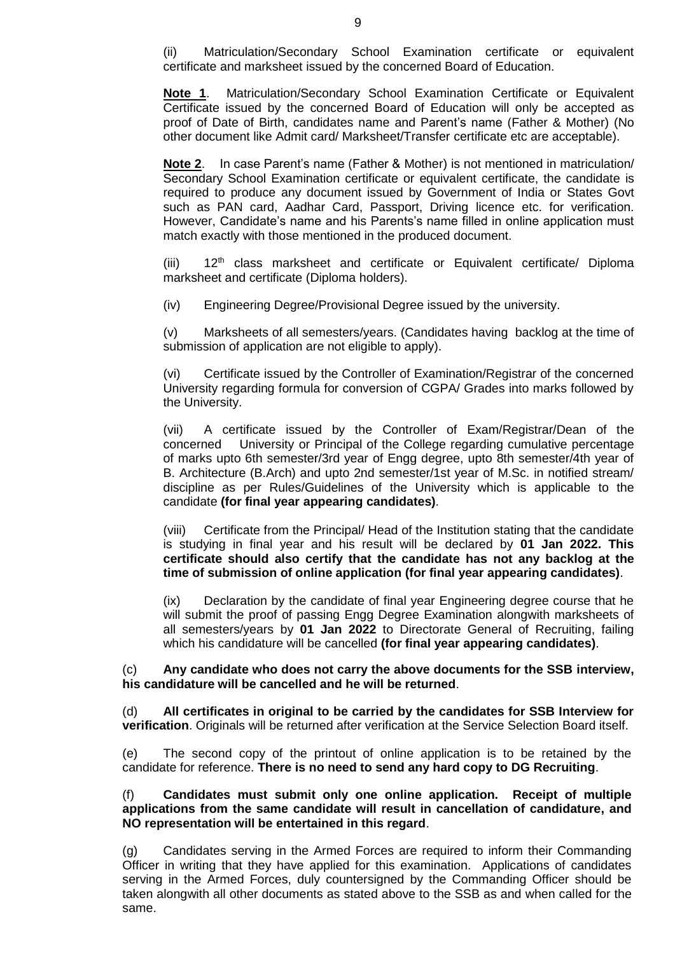(ii) Matriculation/Secondary School Examination certificate or equivalent certificate and marksheet issued by the concerned Board of Education.

**Note 1**. Matriculation/Secondary School Examination Certificate or Equivalent Certificate issued by the concerned Board of Education will only be accepted as proof of Date of Birth, candidates name and Parent's name (Father & Mother) (No other document like Admit card/ Marksheet/Transfer certificate etc are acceptable).

**Note 2**. In case Parent's name (Father & Mother) is not mentioned in matriculation/ Secondary School Examination certificate or equivalent certificate, the candidate is required to produce any document issued by Government of India or States Govt such as PAN card, Aadhar Card, Passport, Driving licence etc. for verification. However, Candidate's name and his Parents's name filled in online application must match exactly with those mentioned in the produced document.

 $(iii)$  12<sup>th</sup> class marksheet and certificate or Equivalent certificate/ Diploma marksheet and certificate (Diploma holders).

(iv) Engineering Degree/Provisional Degree issued by the university.

(v) Marksheets of all semesters/years. (Candidates having backlog at the time of submission of application are not eligible to apply).

(vi) Certificate issued by the Controller of Examination/Registrar of the concerned University regarding formula for conversion of CGPA/ Grades into marks followed by the University.

(vii) A certificate issued by the Controller of Exam/Registrar/Dean of the concerned University or Principal of the College regarding cumulative percentage of marks upto 6th semester/3rd year of Engg degree, upto 8th semester/4th year of B. Architecture (B.Arch) and upto 2nd semester/1st year of M.Sc. in notified stream/ discipline as per Rules/Guidelines of the University which is applicable to the candidate **(for final year appearing candidates)**.

(viii) Certificate from the Principal/ Head of the Institution stating that the candidate is studying in final year and his result will be declared by **01 Jan 2022. This certificate should also certify that the candidate has not any backlog at the time of submission of online application (for final year appearing candidates)**.

(ix) Declaration by the candidate of final year Engineering degree course that he will submit the proof of passing Engg Degree Examination alongwith marksheets of all semesters/years by **01 Jan 2022** to Directorate General of Recruiting, failing which his candidature will be cancelled **(for final year appearing candidates)**.

(c) **Any candidate who does not carry the above documents for the SSB interview, his candidature will be cancelled and he will be returned**.

(d) **All certificates in original to be carried by the candidates for SSB Interview for verification**. Originals will be returned after verification at the Service Selection Board itself.

(e) The second copy of the printout of online application is to be retained by the candidate for reference. **There is no need to send any hard copy to DG Recruiting**.

### (f) **Candidates must submit only one online application. Receipt of multiple applications from the same candidate will result in cancellation of candidature, and NO representation will be entertained in this regard**.

(g) Candidates serving in the Armed Forces are required to inform their Commanding Officer in writing that they have applied for this examination. Applications of candidates serving in the Armed Forces, duly countersigned by the Commanding Officer should be taken alongwith all other documents as stated above to the SSB as and when called for the same.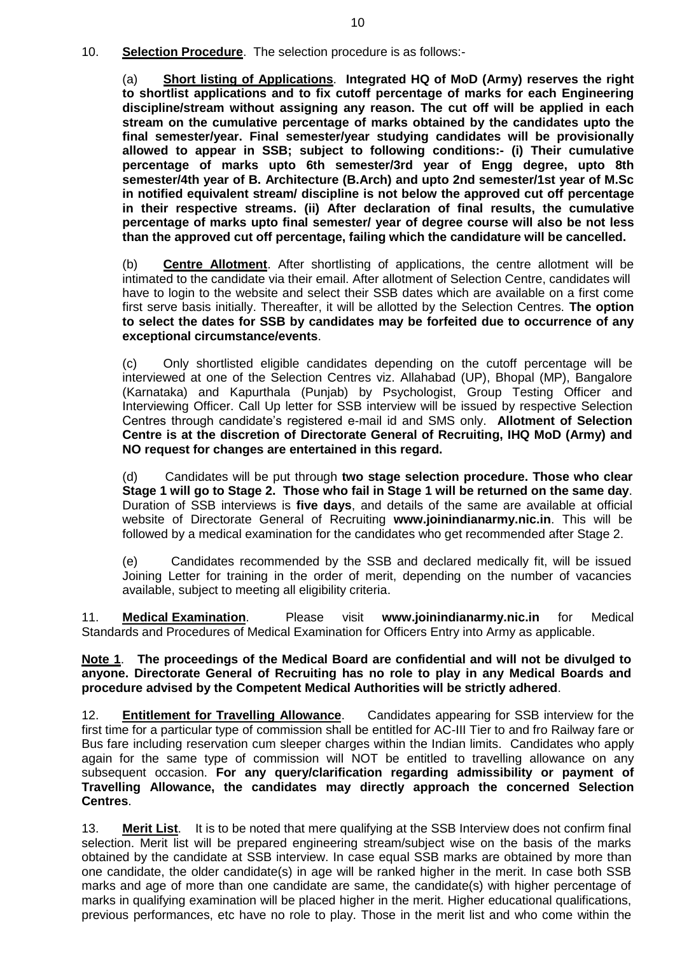10. **Selection Procedure**. The selection procedure is as follows:-

(a) **Short listing of Applications**. **Integrated HQ of MoD (Army) reserves the right to shortlist applications and to fix cutoff percentage of marks for each Engineering discipline/stream without assigning any reason. The cut off will be applied in each stream on the cumulative percentage of marks obtained by the candidates upto the final semester/year. Final semester/year studying candidates will be provisionally allowed to appear in SSB; subject to following conditions:- (i) Their cumulative percentage of marks upto 6th semester/3rd year of Engg degree, upto 8th semester/4th year of B. Architecture (B.Arch) and upto 2nd semester/1st year of M.Sc in notified equivalent stream/ discipline is not below the approved cut off percentage in their respective streams. (ii) After declaration of final results, the cumulative percentage of marks upto final semester/ year of degree course will also be not less than the approved cut off percentage, failing which the candidature will be cancelled.**

(b) **Centre Allotment**. After shortlisting of applications, the centre allotment will be intimated to the candidate via their email. After allotment of Selection Centre, candidates will have to login to the website and select their SSB dates which are available on a first come first serve basis initially. Thereafter, it will be allotted by the Selection Centres. **The option to select the dates for SSB by candidates may be forfeited due to occurrence of any exceptional circumstance/events**.

(c) Only shortlisted eligible candidates depending on the cutoff percentage will be interviewed at one of the Selection Centres viz. Allahabad (UP), Bhopal (MP), Bangalore (Karnataka) and Kapurthala (Punjab) by Psychologist, Group Testing Officer and Interviewing Officer. Call Up letter for SSB interview will be issued by respective Selection Centres through candidate's registered e-mail id and SMS only. **Allotment of Selection Centre is at the discretion of Directorate General of Recruiting, IHQ MoD (Army) and NO request for changes are entertained in this regard.**

(d) Candidates will be put through **two stage selection procedure. Those who clear Stage 1 will go to Stage 2. Those who fail in Stage 1 will be returned on the same day**. Duration of SSB interviews is **five days**, and details of the same are available at official website of Directorate General of Recruiting **[www.joinindianarmy.nic.in](http://www.joinindianarmy.nic.in/)**. This will be followed by a medical examination for the candidates who get recommended after Stage 2.

(e) Candidates recommended by the SSB and declared medically fit, will be issued Joining Letter for training in the order of merit, depending on the number of vacancies available, subject to meeting all eligibility criteria.

11. **Medical Examination**. Please visit **[www.joinindianarmy.nic.in](http://www.joinindianarmy.nic.in/)** for Medical Standards and Procedures of Medical Examination for Officers Entry into Army as applicable.

**Note 1**. **The proceedings of the Medical Board are confidential and will not be divulged to anyone. Directorate General of Recruiting has no role to play in any Medical Boards and procedure advised by the Competent Medical Authorities will be strictly adhered**.

12. **Entitlement for Travelling Allowance**. Candidates appearing for SSB interview for the first time for a particular type of commission shall be entitled for AC-III Tier to and fro Railway fare or Bus fare including reservation cum sleeper charges within the Indian limits. Candidates who apply again for the same type of commission will NOT be entitled to travelling allowance on any subsequent occasion. **For any query/clarification regarding admissibility or payment of Travelling Allowance, the candidates may directly approach the concerned Selection Centres**.

13. **Merit List**. It is to be noted that mere qualifying at the SSB Interview does not confirm final selection. Merit list will be prepared engineering stream/subject wise on the basis of the marks obtained by the candidate at SSB interview. In case equal SSB marks are obtained by more than one candidate, the older candidate(s) in age will be ranked higher in the merit. In case both SSB marks and age of more than one candidate are same, the candidate(s) with higher percentage of marks in qualifying examination will be placed higher in the merit. Higher educational qualifications, previous performances, etc have no role to play. Those in the merit list and who come within the